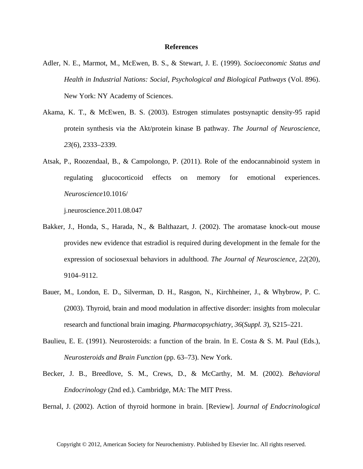## **References**

- Adler, N. E., Marmot, M., McEwen, B. S., & Stewart, J. E. (1999). *Socioeconomic Status and Health in Industrial Nations: Social, Psychological and Biological Pathways* (Vol. 896). New York: NY Academy of Sciences.
- Akama, K. T., & McEwen, B. S. (2003). Estrogen stimulates postsynaptic density-95 rapid protein synthesis via the Akt/protein kinase B pathway. *The Journal of Neuroscience*, *23*(6), 2333–2339.
- Atsak, P., Roozendaal, B., & Campolongo, P. (2011). Role of the endocannabinoid system in regulating glucocorticoid effects on memory for emotional experiences. *Neuroscience*10.1016/

j.neuroscience.2011.08.047

- Bakker, J., Honda, S., Harada, N., & Balthazart, J. (2002). The aromatase knock-out mouse provides new evidence that estradiol is required during development in the female for the expression of sociosexual behaviors in adulthood. *The Journal of Neuroscience*, *22*(20), 9104–9112.
- Bauer, M., London, E. D., Silverman, D. H., Rasgon, N., Kirchheiner, J., & Whybrow, P. C. (2003). Thyroid, brain and mood modulation in affective disorder: insights from molecular research and functional brain imaging. *Pharmacopsychiatry*, *36*(*Suppl. 3*), S215–221.
- Baulieu, E. E. (1991). Neurosteroids: a function of the brain. In E. Costa & S. M. Paul (Eds.), *Neurosteroids and Brain Function* (pp. 63–73). New York.
- Becker, J. B., Breedlove, S. M., Crews, D., & McCarthy, M. M. (2002). *Behavioral Endocrinology* (2nd ed.). Cambridge, MA: The MIT Press.

Bernal, J. (2002). Action of thyroid hormone in brain. [Review]. *Journal of Endocrinological*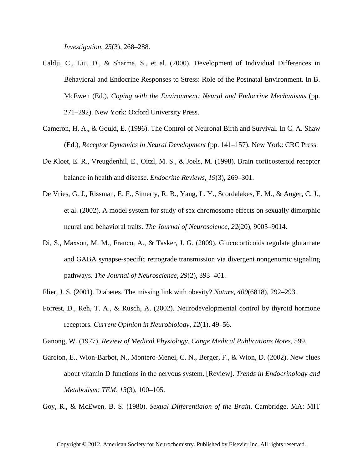*Investigation*, *25*(3), 268–288.

- Caldji, C., Liu, D., & Sharma, S., et al. (2000). Development of Individual Differences in Behavioral and Endocrine Responses to Stress: Role of the Postnatal Environment. In B. McEwen (Ed.), *Coping with the Environment: Neural and Endocrine Mechanisms* (pp. 271–292). New York: Oxford University Press.
- Cameron, H. A., & Gould, E. (1996). The Control of Neuronal Birth and Survival. In C. A. Shaw (Ed.), *Receptor Dynamics in Neural Development* (pp. 141–157). New York: CRC Press.
- De Kloet, E. R., Vreugdenhil, E., Oitzl, M. S., & Joels, M. (1998). Brain corticosteroid receptor balance in health and disease. *Endocrine Reviews*, *19*(3), 269–301.
- De Vries, G. J., Rissman, E. F., Simerly, R. B., Yang, L. Y., Scordalakes, E. M., & Auger, C. J., et al. (2002). A model system for study of sex chromosome effects on sexually dimorphic neural and behavioral traits. *The Journal of Neuroscience*, *22*(20), 9005–9014.
- Di, S., Maxson, M. M., Franco, A., & Tasker, J. G. (2009). Glucocorticoids regulate glutamate and GABA synapse-specific retrograde transmission via divergent nongenomic signaling pathways. *The Journal of Neuroscience*, *29*(2), 393–401.
- Flier, J. S. (2001). Diabetes. The missing link with obesity? *Nature*, *409*(6818), 292–293.
- Forrest, D., Reh, T. A., & Rusch, A. (2002). Neurodevelopmental control by thyroid hormone receptors. *Current Opinion in Neurobiology*, *12*(1), 49–56.

Ganong, W. (1977). *Review of Medical Physiology, Cange Medical Publications Notes*, 599.

Garcion, E., Wion-Barbot, N., Montero-Menei, C. N., Berger, F., & Wion, D. (2002). New clues about vitamin D functions in the nervous system. [Review]. *Trends in Endocrinology and Metabolism: TEM*, *13*(3), 100–105.

Goy, R., & McEwen, B. S. (1980). *Sexual Differentiaion of the Brain*. Cambridge, MA: MIT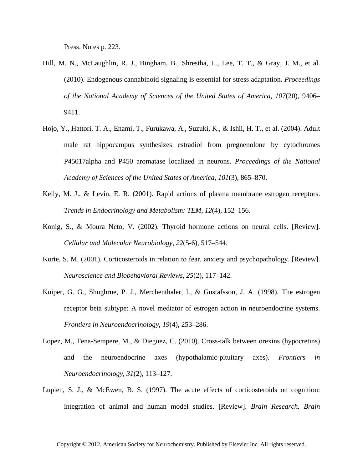Press. Notes p. 223.

- Hill, M. N., McLaughlin, R. J., Bingham, B., Shrestha, L., Lee, T. T., & Gray, J. M., et al. (2010). Endogenous cannabinoid signaling is essential for stress adaptation. *Proceedings of the National Academy of Sciences of the United States of America*, *107*(20), 9406– 9411.
- Hojo, Y., Hattori, T. A., Enami, T., Furukawa, A., Suzuki, K., & Ishii, H. T., et al. (2004). Adult male rat hippocampus synthesizes estradiol from pregnenolone by cytochromes P45017alpha and P450 aromatase localized in neurons. *Proceedings of the National Academy of Sciences of the United States of America*, *101*(3), 865–870.
- Kelly, M. J., & Levin, E. R. (2001). Rapid actions of plasma membrane estrogen receptors. *Trends in Endocrinology and Metabolism: TEM*, *12*(4), 152–156.
- Konig, S., & Moura Neto, V. (2002). Thyroid hormone actions on neural cells. [Review]. *Cellular and Molecular Neurobiology*, *22*(5-6), 517–544.
- Korte, S. M. (2001). Corticosteroids in relation to fear, anxiety and psychopathology. [Review]. *Neuroscience and Biobehavioral Reviews*, *25*(2), 117–142.
- Kuiper, G. G., Shughrue, P. J., Merchenthaler, I., & Gustafsson, J. A. (1998). The estrogen receptor beta subtype: A novel mediator of estrogen action in neuroendocrine systems. *Frontiers in Neuroendocrinology*, *19*(4), 253–286.
- Lopez, M., Tena-Sempere, M., & Dieguez, C. (2010). Cross-talk between orexins (hypocretins) and the neuroendocrine axes (hypothalamic-pituitary axes). *Frontiers in Neuroendocrinology*, *31*(2), 113–127.
- Lupien, S. J., & McEwen, B. S. (1997). The acute effects of corticosteroids on cognition: integration of animal and human model studies. [Review]. *Brain Research. Brain*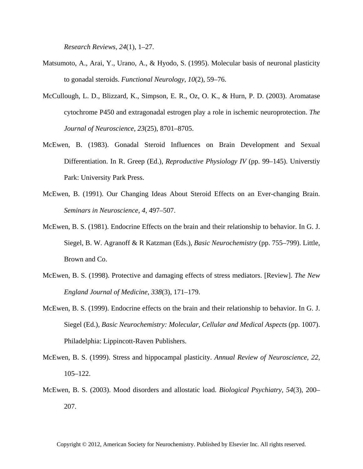*Research Reviews*, *24*(1), 1–27.

- Matsumoto, A., Arai, Y., Urano, A., & Hyodo, S. (1995). Molecular basis of neuronal plasticity to gonadal steroids. *Functional Neurology*, *10*(2), 59–76.
- McCullough, L. D., Blizzard, K., Simpson, E. R., Oz, O. K., & Hurn, P. D. (2003). Aromatase cytochrome P450 and extragonadal estrogen play a role in ischemic neuroprotection. *The Journal of Neuroscience*, *23*(25), 8701–8705.
- McEwen, B. (1983). Gonadal Steroid Influences on Brain Development and Sexual Differentiation. In R. Greep (Ed.), *Reproductive Physiology IV* (pp. 99–145). Universtiy Park: University Park Press.
- McEwen, B. (1991). Our Changing Ideas About Steroid Effects on an Ever-changing Brain. *Seminars in Neuroscience*, *4*, 497–507.
- McEwen, B. S. (1981). Endocrine Effects on the brain and their relationship to behavior. In G. J. Siegel, B. W. Agranoff & R Katzman (Eds.), *Basic Neurochemistry* (pp. 755–799). Little, Brown and Co.
- McEwen, B. S. (1998). Protective and damaging effects of stress mediators. [Review]. *The New England Journal of Medicine*, *338*(3), 171–179.
- McEwen, B. S. (1999). Endocrine effects on the brain and their relationship to behavior. In G. J. Siegel (Ed.), *Basic Neurochemistry: Molecular, Cellular and Medical Aspects* (pp. 1007). Philadelphia: Lippincott-Raven Publishers.
- McEwen, B. S. (1999). Stress and hippocampal plasticity. *Annual Review of Neuroscience*, *22*, 105–122.
- McEwen, B. S. (2003). Mood disorders and allostatic load. *Biological Psychiatry*, *54*(3), 200– 207.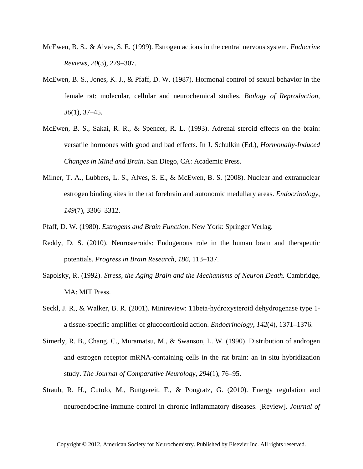- McEwen, B. S., & Alves, S. E. (1999). Estrogen actions in the central nervous system. *Endocrine Reviews*, *20*(3), 279–307.
- McEwen, B. S., Jones, K. J., & Pfaff, D. W. (1987). Hormonal control of sexual behavior in the female rat: molecular, cellular and neurochemical studies. *Biology of Reproduction*, *36*(1), 37–45.
- McEwen, B. S., Sakai, R. R., & Spencer, R. L. (1993). Adrenal steroid effects on the brain: versatile hormones with good and bad effects. In J. Schulkin (Ed.), *Hormonally-Induced Changes in Mind and Brain*. San Diego, CA: Academic Press.
- Milner, T. A., Lubbers, L. S., Alves, S. E., & McEwen, B. S. (2008). Nuclear and extranuclear estrogen binding sites in the rat forebrain and autonomic medullary areas. *Endocrinology*, *149*(7), 3306–3312.
- Pfaff, D. W. (1980). *Estrogens and Brain Function*. New York: Springer Verlag.
- Reddy, D. S. (2010). Neurosteroids: Endogenous role in the human brain and therapeutic potentials. *Progress in Brain Research*, *186*, 113–137.
- Sapolsky, R. (1992). *Stress, the Aging Brain and the Mechanisms of Neuron Death*. Cambridge, MA: MIT Press.
- Seckl, J. R., & Walker, B. R. (2001). Minireview: 11beta-hydroxysteroid dehydrogenase type 1 a tissue-specific amplifier of glucocorticoid action. *Endocrinology*, *142*(4), 1371–1376.
- Simerly, R. B., Chang, C., Muramatsu, M., & Swanson, L. W. (1990). Distribution of androgen and estrogen receptor mRNA-containing cells in the rat brain: an in situ hybridization study. *The Journal of Comparative Neurology*, *294*(1), 76–95.
- Straub, R. H., Cutolo, M., Buttgereit, F., & Pongratz, G. (2010). Energy regulation and neuroendocrine-immune control in chronic inflammatory diseases. [Review]. *Journal of*